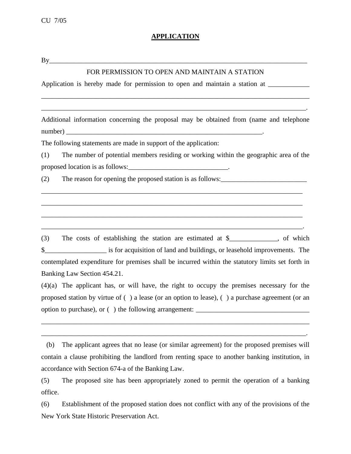## **APPLICATION**

By\_\_\_\_\_\_\_\_\_\_\_\_\_\_\_\_\_\_\_\_\_\_\_\_\_\_\_\_\_\_\_\_\_\_\_\_\_\_\_\_\_\_\_\_\_\_\_\_\_\_\_\_\_\_\_\_\_\_\_\_\_\_\_\_\_\_\_\_\_\_\_\_\_\_\_

## FOR PERMISSION TO OPEN AND MAINTAIN A STATION

\_\_\_\_\_\_\_\_\_\_\_\_\_\_\_\_\_\_\_\_\_\_\_\_\_\_\_\_\_\_\_\_\_\_\_\_\_\_\_\_\_\_\_\_\_\_\_\_\_\_\_\_\_\_\_\_\_\_\_\_\_\_\_\_\_\_\_\_\_\_\_\_\_\_\_\_\_\_

\_\_\_\_\_\_\_\_\_\_\_\_\_\_\_\_\_\_\_\_\_\_\_\_\_\_\_\_\_\_\_\_\_\_\_\_\_\_\_\_\_\_\_\_\_\_\_\_\_\_\_\_\_\_\_\_\_\_\_\_\_\_\_\_\_\_\_\_\_\_\_\_\_\_\_\_\_.

Application is hereby made for permission to open and maintain a station at

Additional information concerning the proposal may be obtained from (name and telephone number) \_\_\_\_\_\_\_\_\_\_\_\_\_\_\_\_\_\_\_\_\_\_\_\_\_\_\_\_\_\_\_\_\_\_\_\_\_\_\_\_\_\_\_\_\_\_\_\_\_\_\_\_\_\_\_\_\_.

The following statements are made in support of the application:

(1) The number of potential members residing or working within the geographic area of the proposed location is as follows: \_\_\_\_\_\_\_\_\_\_\_\_\_\_\_\_\_\_\_\_\_\_\_\_\_\_\_\_\_\_\_.

\_\_\_\_\_\_\_\_\_\_\_\_\_\_\_\_\_\_\_\_\_\_\_\_\_\_\_\_\_\_\_\_\_\_\_\_\_\_\_\_\_\_\_\_\_\_\_\_\_\_\_\_\_\_\_\_\_\_\_\_\_\_\_\_\_\_\_\_\_\_\_\_\_\_\_\_

\_\_\_\_\_\_\_\_\_\_\_\_\_\_\_\_\_\_\_\_\_\_\_\_\_\_\_\_\_\_\_\_\_\_\_\_\_\_\_\_\_\_\_\_\_\_\_\_\_\_\_\_\_\_\_\_\_\_\_\_\_\_\_\_\_\_\_\_\_\_\_\_\_\_\_\_

\_\_\_\_\_\_\_\_\_\_\_\_\_\_\_\_\_\_\_\_\_\_\_\_\_\_\_\_\_\_\_\_\_\_\_\_\_\_\_\_\_\_\_\_\_\_\_\_\_\_\_\_\_\_\_\_\_\_\_\_\_\_\_\_\_\_\_\_\_\_\_\_\_\_\_\_

\_\_\_\_\_\_\_\_\_\_\_\_\_\_\_\_\_\_\_\_\_\_\_\_\_\_\_\_\_\_\_\_\_\_\_\_\_\_\_\_\_\_\_\_\_\_\_\_\_\_\_\_\_\_\_\_\_\_\_\_\_\_\_\_\_\_\_\_\_\_\_\_\_\_\_\_.

(2) The reason for opening the proposed station is as follows:  $\frac{1}{\sqrt{2\pi}}$ 

(3) The costs of establishing the station are estimated at \$\_\_\_\_\_\_\_\_\_\_\_\_\_\_, of which \$\_\_\_\_\_\_\_\_\_\_\_\_\_\_\_\_\_\_ is for acquisition of land and buildings, or leasehold improvements. The contemplated expenditure for premises shall be incurred within the statutory limits set forth in Banking Law Section 454.21.

(4)(a) The applicant has, or will have, the right to occupy the premises necessary for the proposed station by virtue of ( ) a lease (or an option to lease), ( ) a purchase agreement (or an option to purchase), or () the following arrangement:

\_\_\_\_\_\_\_\_\_\_\_\_\_\_\_\_\_\_\_\_\_\_\_\_\_\_\_\_\_\_\_\_\_\_\_\_\_\_\_\_\_\_\_\_\_\_\_\_\_\_\_\_\_\_\_\_\_\_\_\_\_\_\_\_\_\_\_\_\_\_\_\_\_\_\_\_\_\_

\_\_\_\_\_\_\_\_\_\_\_\_\_\_\_\_\_\_\_\_\_\_\_\_\_\_\_\_\_\_\_\_\_\_\_\_\_\_\_\_\_\_\_\_\_\_\_\_\_\_\_\_\_\_\_\_\_\_\_\_\_\_\_\_\_\_\_\_\_\_\_\_\_\_\_\_\_.

(b) The applicant agrees that no lease (or similar agreement) for the proposed premises will contain a clause prohibiting the landlord from renting space to another banking institution, in accordance with Section 674-a of the Banking Law.

(5) The proposed site has been appropriately zoned to permit the operation of a banking office.

(6) Establishment of the proposed station does not conflict with any of the provisions of the New York State Historic Preservation Act.